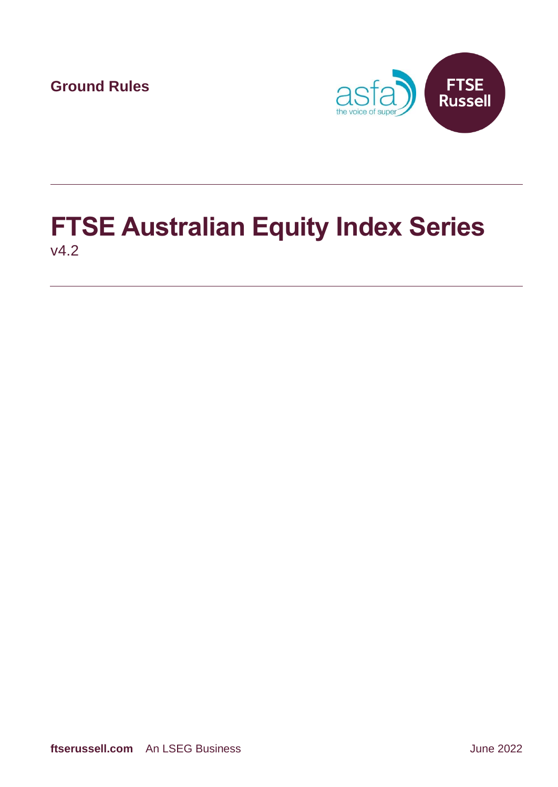**Ground Rules**



## **FTSE Australian Equity Index Series** v4.2

**ftserussell.com** An LSEG Business **And An LSEG Business** June 2022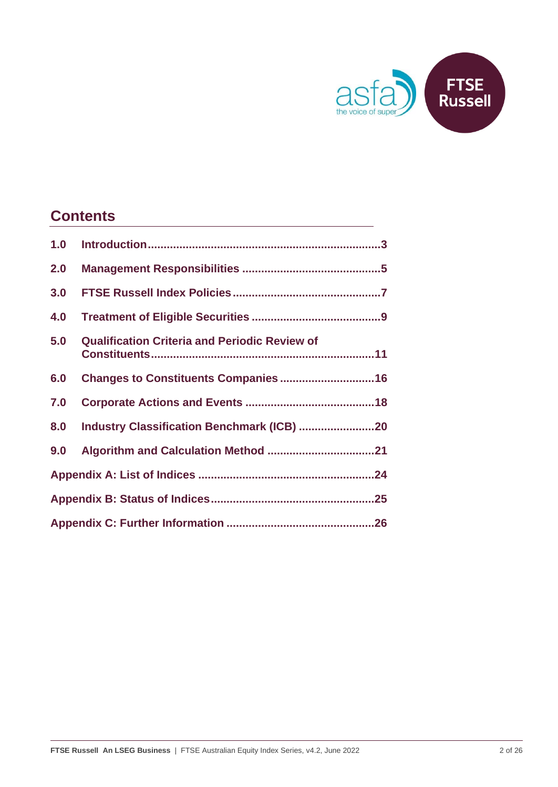

### **Contents**

| 1.0 |                                                      |  |  |  |
|-----|------------------------------------------------------|--|--|--|
| 2.0 |                                                      |  |  |  |
| 3.0 |                                                      |  |  |  |
| 4.0 |                                                      |  |  |  |
| 5.0 | <b>Qualification Criteria and Periodic Review of</b> |  |  |  |
| 6.0 |                                                      |  |  |  |
| 7.0 |                                                      |  |  |  |
| 8.0 |                                                      |  |  |  |
| 9.0 |                                                      |  |  |  |
|     |                                                      |  |  |  |
|     |                                                      |  |  |  |
|     |                                                      |  |  |  |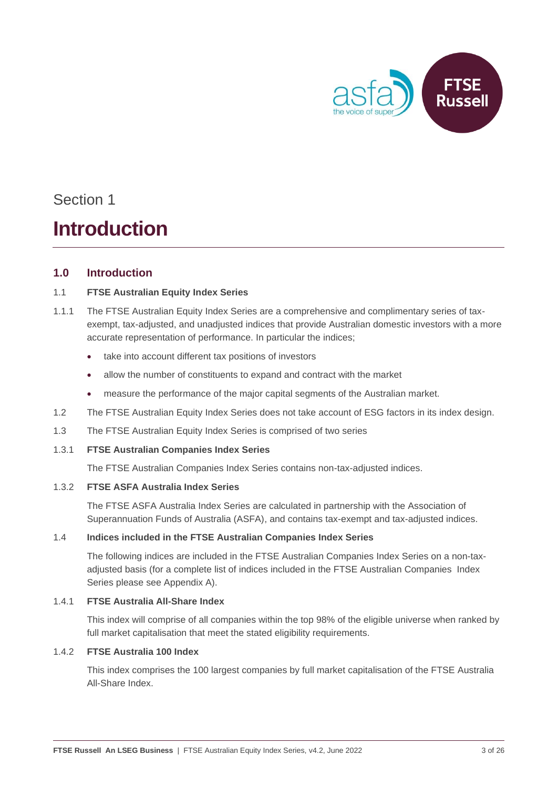

### **Introduction**

#### <span id="page-2-0"></span>**1.0 Introduction**

#### 1.1 **FTSE Australian Equity Index Series**

- 1.1.1 The FTSE Australian Equity Index Series are a comprehensive and complimentary series of taxexempt, tax-adjusted, and unadjusted indices that provide Australian domestic investors with a more accurate representation of performance. In particular the indices;
	- take into account different tax positions of investors
	- allow the number of constituents to expand and contract with the market
	- measure the performance of the major capital segments of the Australian market.
- 1.2 The FTSE Australian Equity Index Series does not take account of ESG factors in its index design.
- 1.3 The FTSE Australian Equity Index Series is comprised of two series
- 1.3.1 **FTSE Australian Companies Index Series**

The FTSE Australian Companies Index Series contains non-tax-adjusted indices.

#### 1.3.2 **FTSE ASFA Australia Index Series**

The FTSE ASFA Australia Index Series are calculated in partnership with the Association of Superannuation Funds of Australia (ASFA), and contains tax-exempt and tax-adjusted indices.

#### 1.4 **Indices included in the FTSE Australian Companies Index Series**

The following indices are included in the FTSE Australian Companies Index Series on a non-taxadjusted basis (for a complete list of indices included in the FTSE Australian Companies Index Series please see Appendix A).

#### 1.4.1 **FTSE Australia All-Share Index**

This index will comprise of all companies within the top 98% of the eligible universe when ranked by full market capitalisation that meet the stated eligibility requirements.

#### 1.4.2 **FTSE Australia 100 Index**

This index comprises the 100 largest companies by full market capitalisation of the FTSE Australia All-Share Index.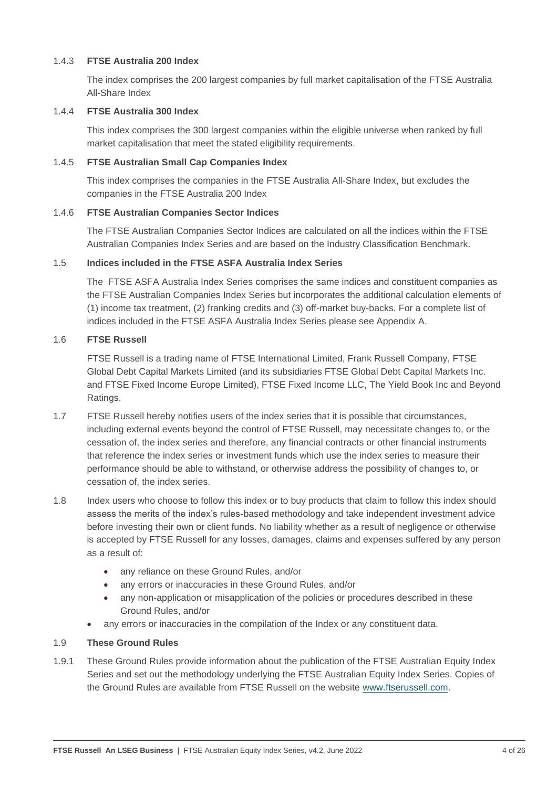#### 1.4.3 **FTSE Australia 200 Index**

The index comprises the 200 largest companies by full market capitalisation of the FTSE Australia All-Share Index

#### 1.4.4 **FTSE Australia 300 Index**

This index comprises the 300 largest companies within the eligible universe when ranked by full market capitalisation that meet the stated eligibility requirements.

#### 1.4.5 **FTSE Australian Small Cap Companies Index**

This index comprises the companies in the FTSE Australia All-Share Index, but excludes the companies in the FTSE Australia 200 Index

#### 1.4.6 **FTSE Australian Companies Sector Indices**

The FTSE Australian Companies Sector Indices are calculated on all the indices within the FTSE Australian Companies Index Series and are based on the Industry Classification Benchmark.

#### 1.5 **Indices included in the FTSE ASFA Australia Index Series**

The FTSE ASFA Australia Index Series comprises the same indices and constituent companies as the FTSE Australian Companies Index Series but incorporates the additional calculation elements of (1) income tax treatment, (2) franking credits and (3) off-market buy-backs. For a complete list of indices included in the FTSE ASFA Australia Index Series please see Appendix A.

#### 1.6 **FTSE Russell**

FTSE Russell is a trading name of FTSE International Limited, Frank Russell Company, FTSE Global Debt Capital Markets Limited (and its subsidiaries FTSE Global Debt Capital Markets Inc. and FTSE Fixed Income Europe Limited), FTSE Fixed Income LLC, The Yield Book Inc and Beyond Ratings.

- 1.7 FTSE Russell hereby notifies users of the index series that it is possible that circumstances, including external events beyond the control of FTSE Russell, may necessitate changes to, or the cessation of, the index series and therefore, any financial contracts or other financial instruments that reference the index series or investment funds which use the index series to measure their performance should be able to withstand, or otherwise address the possibility of changes to, or cessation of, the index series.
- 1.8 Index users who choose to follow this index or to buy products that claim to follow this index should assess the merits of the index's rules-based methodology and take independent investment advice before investing their own or client funds. No liability whether as a result of negligence or otherwise is accepted by FTSE Russell for any losses, damages, claims and expenses suffered by any person as a result of:
	- any reliance on these Ground Rules, and/or
	- any errors or inaccuracies in these Ground Rules, and/or
	- any non-application or misapplication of the policies or procedures described in these Ground Rules, and/or
	- any errors or inaccuracies in the compilation of the Index or any constituent data.

#### 1.9 **These Ground Rules**

1.9.1 These Ground Rules provide information about the publication of the FTSE Australian Equity Index Series and set out the methodology underlying the FTSE Australian Equity Index Series. Copies of the Ground Rules are available from FTSE Russell on the website [www.ftserussell.com.](http://www.ftserussell.com/)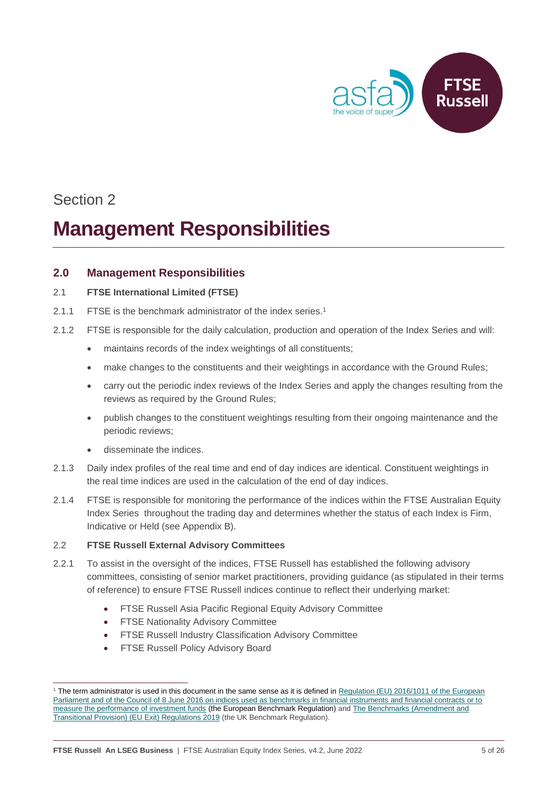

## **Management Responsibilities**

#### <span id="page-4-0"></span>**2.0 Management Responsibilities**

#### 2.1 **FTSE International Limited (FTSE)**

- 2.1.1 FTSE is the benchmark administrator of the index series. 1
- 2.1.2 FTSE is responsible for the daily calculation, production and operation of the Index Series and will:
	- maintains records of the index weightings of all constituents;
	- make changes to the constituents and their weightings in accordance with the Ground Rules;
	- carry out the periodic index reviews of the Index Series and apply the changes resulting from the reviews as required by the Ground Rules;
	- publish changes to the constituent weightings resulting from their ongoing maintenance and the periodic reviews;
	- disseminate the indices.
- 2.1.3 Daily index profiles of the real time and end of day indices are identical. Constituent weightings in the real time indices are used in the calculation of the end of day indices.
- 2.1.4 FTSE is responsible for monitoring the performance of the indices within the FTSE Australian Equity Index Series throughout the trading day and determines whether the status of each Index is Firm, Indicative or Held (see Appendix B).

#### 2.2 **FTSE Russell External Advisory Committees**

- 2.2.1 To assist in the oversight of the indices, FTSE Russell has established the following advisory committees, consisting of senior market practitioners, providing guidance (as stipulated in their terms of reference) to ensure FTSE Russell indices continue to reflect their underlying market:
	- FTSE Russell Asia Pacific Regional Equity Advisory Committee
	- **FTSE Nationality Advisory Committee**
	- FTSE Russell Industry Classification Advisory Committee
	- **FTSE Russell Policy Advisory Board**

<sup>&</sup>lt;sup>1</sup> The term administrator is used in this document in the same sense as it is defined in Regulation (EU) 2016/1011 of the European Parliament and of the Council of [8 June 2016 on indices used as benchmarks in financial instruments and financial contracts or to](http://eur-lex.europa.eu/legal-content/EN/TXT/PDF/?uri=CELEX:32016R1011&from=EN)  [measure the performance of investment funds](http://eur-lex.europa.eu/legal-content/EN/TXT/PDF/?uri=CELEX:32016R1011&from=EN) (the European Benchmark Regulation) an[d The Benchmarks \(Amendment and](https://www.legislation.gov.uk/uksi/2019/657/made)  [Transitional Provision\) \(EU Exit\) Regulations 2019](https://www.legislation.gov.uk/uksi/2019/657/made) (the UK Benchmark Regulation).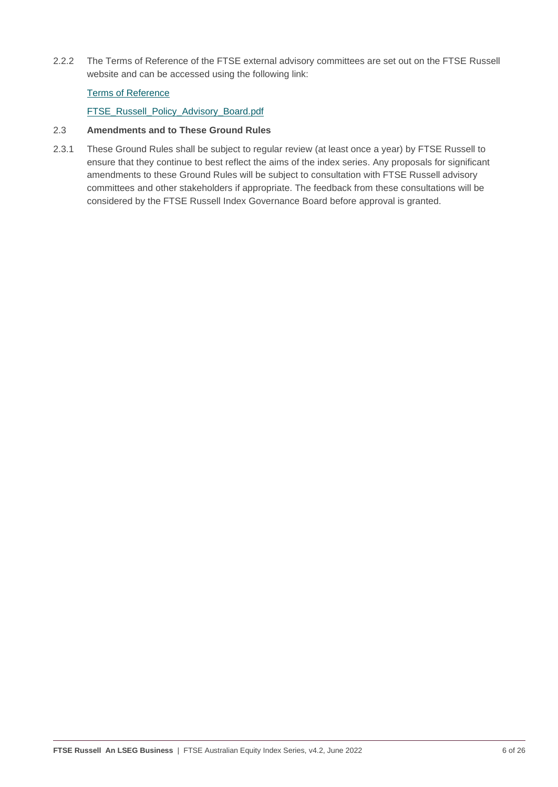2.2.2 The Terms of Reference of the FTSE external advisory committees are set out on the FTSE Russell website and can be accessed using the following link:

#### [Terms of Reference](https://www.ftserussell.com/governance/terms-reference)

[FTSE\\_Russell\\_Policy\\_Advisory\\_Board.pdf](https://research.ftserussell.com/products/downloads/FTSE_Russell_Policy_Advisory_Board.pdf)

#### 2.3 **Amendments and to These Ground Rules**

2.3.1 These Ground Rules shall be subject to regular review (at least once a year) by FTSE Russell to ensure that they continue to best reflect the aims of the index series. Any proposals for significant amendments to these Ground Rules will be subject to consultation with FTSE Russell advisory committees and other stakeholders if appropriate. The feedback from these consultations will be considered by the FTSE Russell Index Governance Board before approval is granted.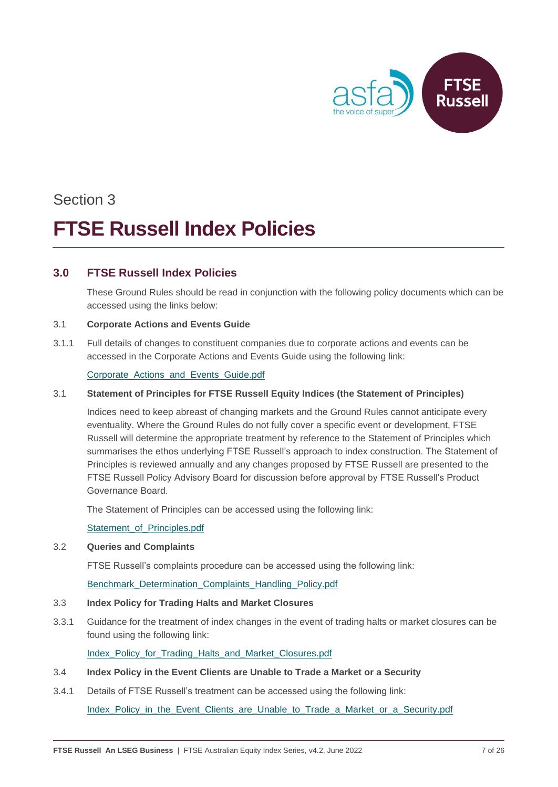

## Section 3 **FTSE Russell Index Policies**

#### <span id="page-6-0"></span>**3.0 FTSE Russell Index Policies**

These Ground Rules should be read in conjunction with the following policy documents which can be accessed using the links below:

#### 3.1 **Corporate Actions and Events Guide**

3.1.1 Full details of changes to constituent companies due to corporate actions and events can be accessed in the Corporate Actions and Events Guide using the following link:

#### [Corporate\\_Actions\\_and\\_Events\\_Guide.pdf](https://research.ftserussell.com/products/downloads/Corporate_Actions_and_Events_Guide.pdf)

#### 3.1 **Statement of Principles for FTSE Russell Equity Indices (the Statement of Principles)**

Indices need to keep abreast of changing markets and the Ground Rules cannot anticipate every eventuality. Where the Ground Rules do not fully cover a specific event or development, FTSE Russell will determine the appropriate treatment by reference to the Statement of Principles which summarises the ethos underlying FTSE Russell's approach to index construction. The Statement of Principles is reviewed annually and any changes proposed by FTSE Russell are presented to the FTSE Russell Policy Advisory Board for discussion before approval by FTSE Russell's Product Governance Board.

The Statement of Principles can be accessed using the following link:

[Statement\\_of\\_Principles.pdf](https://research.ftserussell.com/products/downloads/Statement_of_Principles.pdf)

#### 3.2 **Queries and Complaints**

FTSE Russell's complaints procedure can be accessed using the following link:

Benchmark Determination Complaints Handling Policy.pdf

#### 3.3 **Index Policy for Trading Halts and Market Closures**

3.3.1 Guidance for the treatment of index changes in the event of trading halts or market closures can be found using the following link:

Index Policy for Trading Halts and Market Closures.pdf

- 3.4 **Index Policy in the Event Clients are Unable to Trade a Market or a Security**
- 3.4.1 Details of FTSE Russell's treatment can be accessed using the following link:

[Index\\_Policy\\_in\\_the\\_Event\\_Clients\\_are\\_Unable\\_to\\_Trade\\_a\\_Market\\_or\\_a\\_Security.pdf](https://research.ftserussell.com/products/downloads/FTSE_Russell_Index_Policy_in_the_Event_Clients_are_Unable_to_Trade_a_Market_or_a_Security.pdf)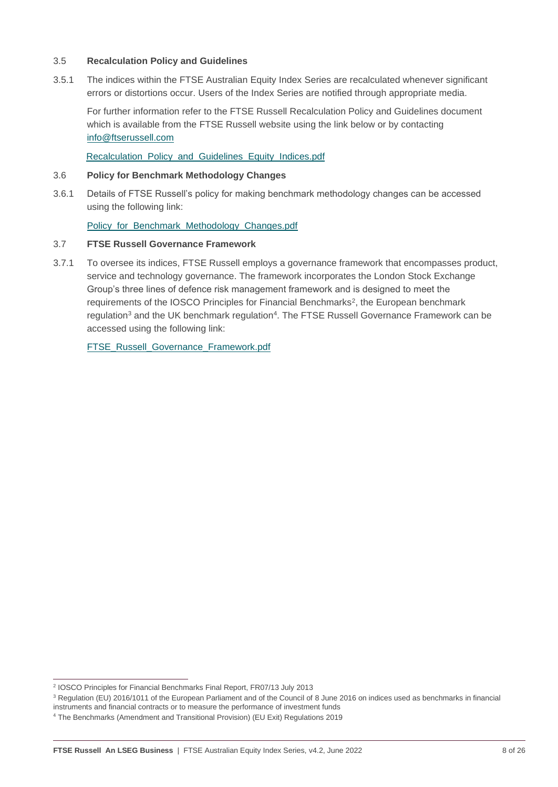#### 3.5 **Recalculation Policy and Guidelines**

3.5.1 The indices within the FTSE Australian Equity Index Series are recalculated whenever significant errors or distortions occur. Users of the Index Series are notified through appropriate media.

For further information refer to the FTSE Russell Recalculation Policy and Guidelines document which is available from the FTSE Russell website using the link below or by contacting [info@ftserussell.com](mailto:info@ftserussell.com)

[Recalculation\\_Policy\\_and\\_Guidelines\\_Equity\\_Indices.pdf](https://research.ftserussell.com/products/downloads/Equity_Index_Recalculation_Policy_and_Guidelines.pdf)

#### 3.6 **Policy for Benchmark Methodology Changes**

3.6.1 Details of FTSE Russell's policy for making benchmark methodology changes can be accessed using the following link:

Policy for Benchmark Methodology Changes.pdf

#### 3.7 **FTSE Russell Governance Framework**

3.7.1 To oversee its indices, FTSE Russell employs a governance framework that encompasses product, service and technology governance. The framework incorporates the London Stock Exchange Group's three lines of defence risk management framework and is designed to meet the requirements of the IOSCO Principles for Financial Benchmarks<sup>2</sup>, the European benchmark regulation<sup>3</sup> and the UK benchmark regulation<sup>4</sup>. The FTSE Russell Governance Framework can be accessed using the following link:

[FTSE\\_Russell\\_Governance\\_Framework.pdf](https://research.ftserussell.com/products/downloads/FTSE_Russell_Governance_Framework.pdf)

<sup>2</sup> IOSCO Principles for Financial Benchmarks Final Report, FR07/13 July 2013

<sup>&</sup>lt;sup>3</sup> Regulation (EU) 2016/1011 of the European Parliament and of the Council of 8 June 2016 on indices used as benchmarks in financial

instruments and financial contracts or to measure the performance of investment funds

<sup>4</sup> The Benchmarks (Amendment and Transitional Provision) (EU Exit) Regulations 2019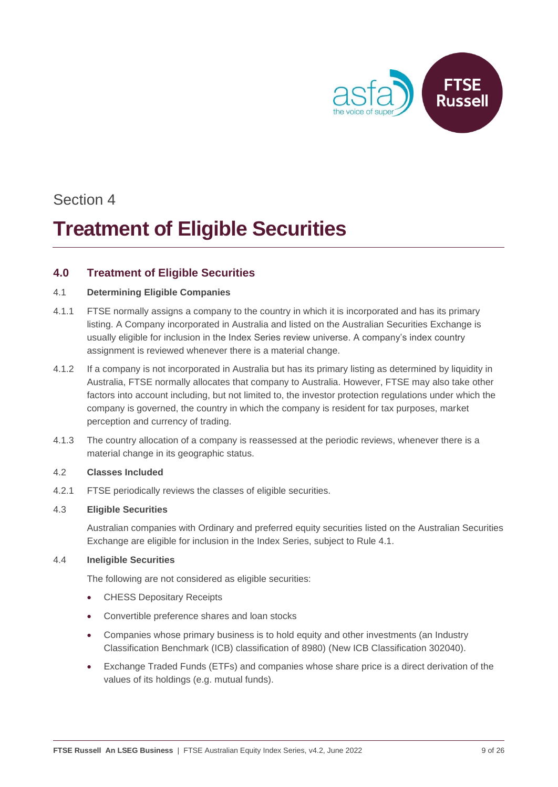

## **Treatment of Eligible Securities**

### <span id="page-8-0"></span>**4.0 Treatment of Eligible Securities**

#### 4.1 **Determining Eligible Companies**

- 4.1.1 FTSE normally assigns a company to the country in which it is incorporated and has its primary listing. A Company incorporated in Australia and listed on the Australian Securities Exchange is usually eligible for inclusion in the Index Series review universe. A company's index country assignment is reviewed whenever there is a material change.
- 4.1.2 If a company is not incorporated in Australia but has its primary listing as determined by liquidity in Australia, FTSE normally allocates that company to Australia. However, FTSE may also take other factors into account including, but not limited to, the investor protection regulations under which the company is governed, the country in which the company is resident for tax purposes, market perception and currency of trading.
- 4.1.3 The country allocation of a company is reassessed at the periodic reviews, whenever there is a material change in its geographic status.

#### 4.2 **Classes Included**

4.2.1 FTSE periodically reviews the classes of eligible securities.

#### 4.3 **Eligible Securities**

Australian companies with Ordinary and preferred equity securities listed on the Australian Securities Exchange are eligible for inclusion in the Index Series, subject to Rule 4.1.

#### 4.4 **Ineligible Securities**

The following are not considered as eligible securities:

- CHESS Depositary Receipts
- Convertible preference shares and loan stocks
- Companies whose primary business is to hold equity and other investments (an Industry Classification Benchmark (ICB) classification of 8980) (New ICB Classification 302040).
- Exchange Traded Funds (ETFs) and companies whose share price is a direct derivation of the values of its holdings (e.g. mutual funds).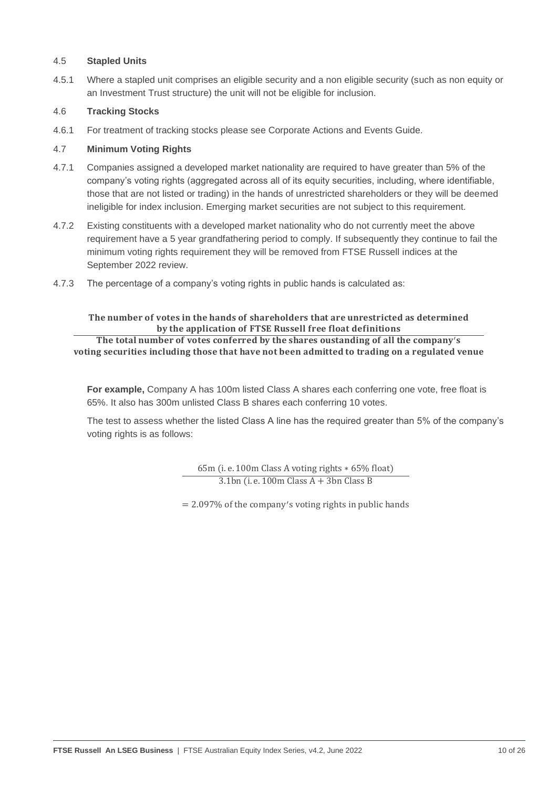#### 4.5 **Stapled Units**

4.5.1 Where a stapled unit comprises an eligible security and a non eligible security (such as non equity or an Investment Trust structure) the unit will not be eligible for inclusion.

#### 4.6 **Tracking Stocks**

4.6.1 For treatment of tracking stocks please see Corporate Actions and Events Guide.

#### 4.7 **Minimum Voting Rights**

- 4.7.1 Companies assigned a developed market nationality are required to have greater than 5% of the company's voting rights (aggregated across all of its equity securities, including, where identifiable, those that are not listed or trading) in the hands of unrestricted shareholders or they will be deemed ineligible for index inclusion. Emerging market securities are not subject to this requirement.
- 4.7.2 Existing constituents with a developed market nationality who do not currently meet the above requirement have a 5 year grandfathering period to comply. If subsequently they continue to fail the minimum voting rights requirement they will be removed from FTSE Russell indices at the September 2022 review.
- 4.7.3 The percentage of a company's voting rights in public hands is calculated as:

#### The number of votes in the hands of shareholders that are unrestricted as determined by the application of FTSE Russell free float definitions

The total number of votes conferred by the shares oustanding of all the company's voting securities including those that have not been admitted to trading on a regulated venue

**For example,** Company A has 100m listed Class A shares each conferring one vote, free float is 65%. It also has 300m unlisted Class B shares each conferring 10 votes.

The test to assess whether the listed Class A line has the required greater than 5% of the company's voting rights is as follows:

> 65m (i. e. 100m Class A voting rights ∗ 65% float)  $3.1$ bn (i. e. 100m Class A + 3bn Class B

= 2.097% of the company ′s voting rights in public hands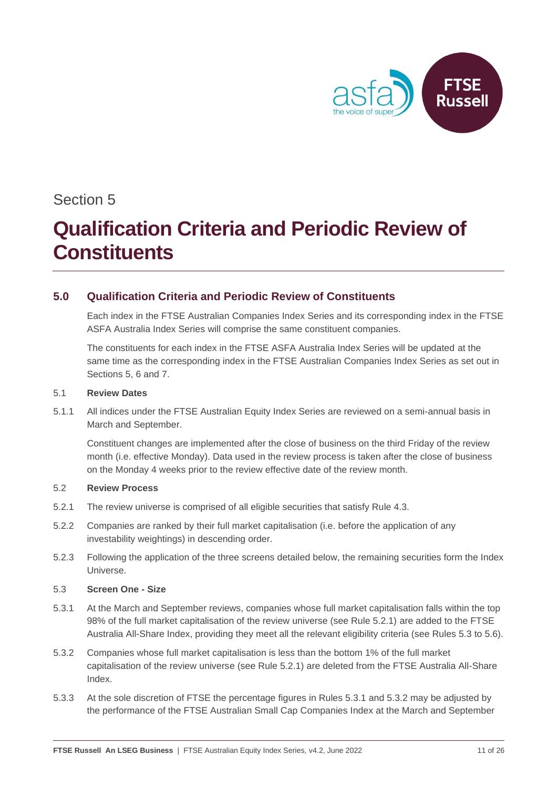

## **Qualification Criteria and Periodic Review of Constituents**

### <span id="page-10-0"></span>**5.0 Qualification Criteria and Periodic Review of Constituents**

Each index in the FTSE Australian Companies Index Series and its corresponding index in the FTSE ASFA Australia Index Series will comprise the same constituent companies.

The constituents for each index in the FTSE ASFA Australia Index Series will be updated at the same time as the corresponding index in the FTSE Australian Companies Index Series as set out in Sections 5, 6 and 7.

#### 5.1 **Review Dates**

5.1.1 All indices under the FTSE Australian Equity Index Series are reviewed on a semi-annual basis in March and September.

Constituent changes are implemented after the close of business on the third Friday of the review month (i.e. effective Monday). Data used in the review process is taken after the close of business on the Monday 4 weeks prior to the review effective date of the review month.

#### 5.2 **Review Process**

- 5.2.1 The review universe is comprised of all eligible securities that satisfy Rule 4.3.
- 5.2.2 Companies are ranked by their full market capitalisation (i.e. before the application of any investability weightings) in descending order.
- 5.2.3 Following the application of the three screens detailed below, the remaining securities form the Index Universe.

#### 5.3 **Screen One - Size**

- 5.3.1 At the March and September reviews, companies whose full market capitalisation falls within the top 98% of the full market capitalisation of the review universe (see Rule 5.2.1) are added to the FTSE Australia All-Share Index, providing they meet all the relevant eligibility criteria (see Rules 5.3 to 5.6).
- 5.3.2 Companies whose full market capitalisation is less than the bottom 1% of the full market capitalisation of the review universe (see Rule 5.2.1) are deleted from the FTSE Australia All-Share Index.
- 5.3.3 At the sole discretion of FTSE the percentage figures in Rules 5.3.1 and 5.3.2 may be adjusted by the performance of the FTSE Australian Small Cap Companies Index at the March and September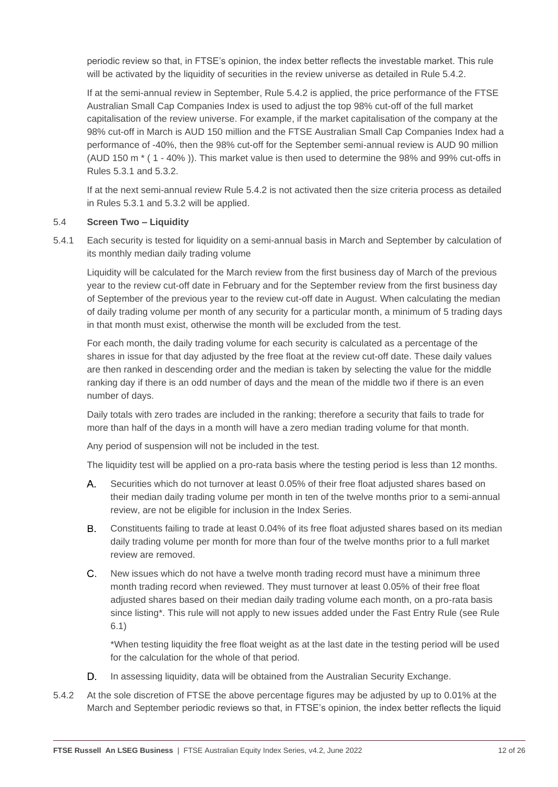periodic review so that, in FTSE's opinion, the index better reflects the investable market. This rule will be activated by the liquidity of securities in the review universe as detailed in Rule 5.4.2.

If at the semi-annual review in September, Rule 5.4.2 is applied, the price performance of the FTSE Australian Small Cap Companies Index is used to adjust the top 98% cut-off of the full market capitalisation of the review universe. For example, if the market capitalisation of the company at the 98% cut-off in March is AUD 150 million and the FTSE Australian Small Cap Companies Index had a performance of -40%, then the 98% cut-off for the September semi-annual review is AUD 90 million (AUD 150 m \* ( 1 - 40% )). This market value is then used to determine the 98% and 99% cut-offs in Rules 5.3.1 and 5.3.2.

If at the next semi-annual review Rule 5.4.2 is not activated then the size criteria process as detailed in Rules 5.3.1 and 5.3.2 will be applied.

#### 5.4 **Screen Two – Liquidity**

5.4.1 Each security is tested for liquidity on a semi-annual basis in March and September by calculation of its monthly median daily trading volume

Liquidity will be calculated for the March review from the first business day of March of the previous year to the review cut-off date in February and for the September review from the first business day of September of the previous year to the review cut-off date in August. When calculating the median of daily trading volume per month of any security for a particular month, a minimum of 5 trading days in that month must exist, otherwise the month will be excluded from the test.

For each month, the daily trading volume for each security is calculated as a percentage of the shares in issue for that day adjusted by the free float at the review cut-off date. These daily values are then ranked in descending order and the median is taken by selecting the value for the middle ranking day if there is an odd number of days and the mean of the middle two if there is an even number of days.

Daily totals with zero trades are included in the ranking; therefore a security that fails to trade for more than half of the days in a month will have a zero median trading volume for that month.

Any period of suspension will not be included in the test.

The liquidity test will be applied on a pro-rata basis where the testing period is less than 12 months.

- A. Securities which do not turnover at least 0.05% of their free float adjusted shares based on their median daily trading volume per month in ten of the twelve months prior to a semi-annual review, are not be eligible for inclusion in the Index Series.
- $B_{\perp}$ Constituents failing to trade at least 0.04% of its free float adjusted shares based on its median daily trading volume per month for more than four of the twelve months prior to a full market review are removed.
- $C_{-}$ New issues which do not have a twelve month trading record must have a minimum three month trading record when reviewed. They must turnover at least 0.05% of their free float adjusted shares based on their median daily trading volume each month, on a pro-rata basis since listing\*. This rule will not apply to new issues added under the Fast Entry Rule (see Rule 6.1)

\*When testing liquidity the free float weight as at the last date in the testing period will be used for the calculation for the whole of that period.

- D. In assessing liquidity, data will be obtained from the Australian Security Exchange.
- 5.4.2 At the sole discretion of FTSE the above percentage figures may be adjusted by up to 0.01% at the March and September periodic reviews so that, in FTSE's opinion, the index better reflects the liquid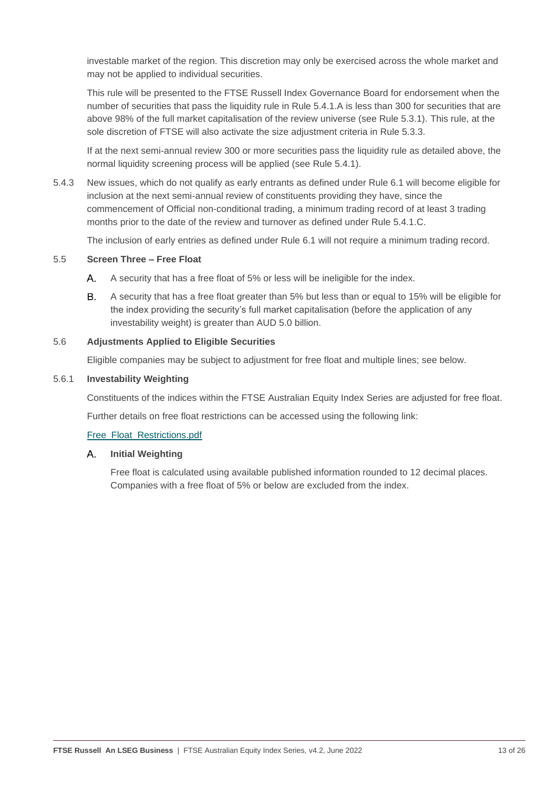investable market of the region. This discretion may only be exercised across the whole market and may not be applied to individual securities.

This rule will be presented to the FTSE Russell Index Governance Board for endorsement when the number of securities that pass the liquidity rule in Rule 5.4.1.A is less than 300 for securities that are above 98% of the full market capitalisation of the review universe (see Rule 5.3.1). This rule, at the sole discretion of FTSE will also activate the size adjustment criteria in Rule 5.3.3.

If at the next semi-annual review 300 or more securities pass the liquidity rule as detailed above, the normal liquidity screening process will be applied (see Rule 5.4.1).

5.4.3 New issues, which do not qualify as early entrants as defined under Rule 6.1 will become eligible for inclusion at the next semi-annual review of constituents providing they have, since the commencement of Official non-conditional trading, a minimum trading record of at least 3 trading months prior to the date of the review and turnover as defined under Rule 5.4.1.C.

The inclusion of early entries as defined under Rule 6.1 will not require a minimum trading record.

#### 5.5 **Screen Three – Free Float**

- A. A security that has a free float of 5% or less will be ineligible for the index.
- В. A security that has a free float greater than 5% but less than or equal to 15% will be eligible for the index providing the security's full market capitalisation (before the application of any investability weight) is greater than AUD 5.0 billion.

#### 5.6 **Adjustments Applied to Eligible Securities**

Eligible companies may be subject to adjustment for free float and multiple lines; see below.

#### 5.6.1 **Investability Weighting**

Constituents of the indices within the FTSE Australian Equity Index Series are adjusted for free float.

Further details on free float restrictions can be accessed using the following link:

#### [Free\\_Float\\_Restrictions.pdf](https://research.ftserussell.com/products/downloads/Free_Float_Restrictions.pdf)

#### A. **Initial Weighting**

Free float is calculated using available published information rounded to 12 decimal places. Companies with a free float of 5% or below are excluded from the index.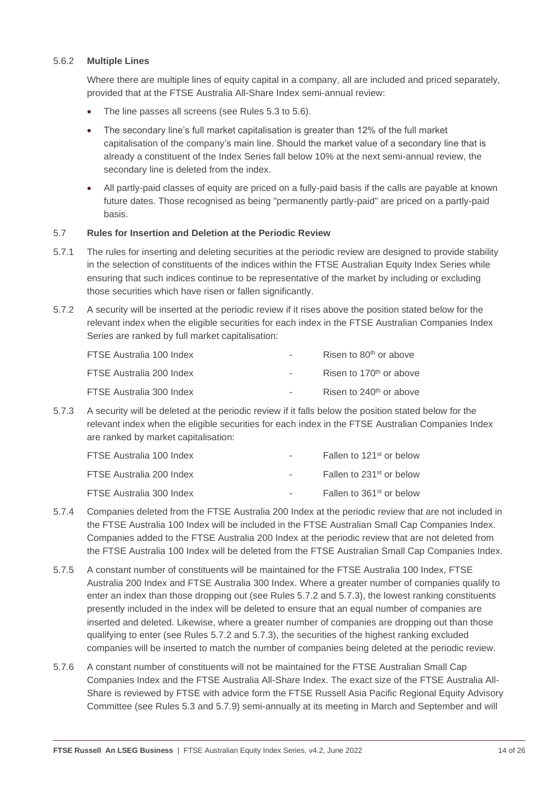#### 5.6.2 **Multiple Lines**

Where there are multiple lines of equity capital in a company, all are included and priced separately, provided that at the FTSE Australia All-Share Index semi-annual review:

- The line passes all screens (see Rules 5.3 to 5.6).
- The secondary line's full market capitalisation is greater than 12% of the full market capitalisation of the company's main line. Should the market value of a secondary line that is already a constituent of the Index Series fall below 10% at the next semi-annual review, the secondary line is deleted from the index.
- All partly-paid classes of equity are priced on a fully-paid basis if the calls are payable at known future dates. Those recognised as being "permanently partly-paid" are priced on a partly-paid basis.

#### 5.7 **Rules for Insertion and Deletion at the Periodic Review**

- 5.7.1 The rules for inserting and deleting securities at the periodic review are designed to provide stability in the selection of constituents of the indices within the FTSE Australian Equity Index Series while ensuring that such indices continue to be representative of the market by including or excluding those securities which have risen or fallen significantly.
- 5.7.2 A security will be inserted at the periodic review if it rises above the position stated below for the relevant index when the eligible securities for each index in the FTSE Australian Companies Index Series are ranked by full market capitalisation:

| FTSE Australia 100 Index | $\sim$        | Risen to 80 <sup>th</sup> or above  |
|--------------------------|---------------|-------------------------------------|
| FTSE Australia 200 Index | $\sim$ $\sim$ | Risen to 170 <sup>th</sup> or above |
| FTSE Australia 300 Index | $\sim$        | Risen to $240th$ or above           |

5.7.3 A security will be deleted at the periodic review if it falls below the position stated below for the relevant index when the eligible securities for each index in the FTSE Australian Companies Index are ranked by market capitalisation:

| FTSE Australia 100 Index | $\sim$ | Fallen to 121 <sup>st</sup> or below |
|--------------------------|--------|--------------------------------------|
| FTSE Australia 200 Index | $\sim$ | Fallen to 231 <sup>st</sup> or below |
| FTSE Australia 300 Index | $\sim$ | Fallen to 361 <sup>st</sup> or below |

- 5.7.4 Companies deleted from the FTSE Australia 200 Index at the periodic review that are not included in the FTSE Australia 100 Index will be included in the FTSE Australian Small Cap Companies Index. Companies added to the FTSE Australia 200 Index at the periodic review that are not deleted from the FTSE Australia 100 Index will be deleted from the FTSE Australian Small Cap Companies Index.
- 5.7.5 A constant number of constituents will be maintained for the FTSE Australia 100 Index, FTSE Australia 200 Index and FTSE Australia 300 Index. Where a greater number of companies qualify to enter an index than those dropping out (see Rules 5.7.2 and 5.7.3), the lowest ranking constituents presently included in the index will be deleted to ensure that an equal number of companies are inserted and deleted. Likewise, where a greater number of companies are dropping out than those qualifying to enter (see Rules 5.7.2 and 5.7.3), the securities of the highest ranking excluded companies will be inserted to match the number of companies being deleted at the periodic review.
- 5.7.6 A constant number of constituents will not be maintained for the FTSE Australian Small Cap Companies Index and the FTSE Australia All-Share Index. The exact size of the FTSE Australia All-Share is reviewed by FTSE with advice form the FTSE Russell Asia Pacific Regional Equity Advisory Committee (see Rules 5.3 and 5.7.9) semi-annually at its meeting in March and September and will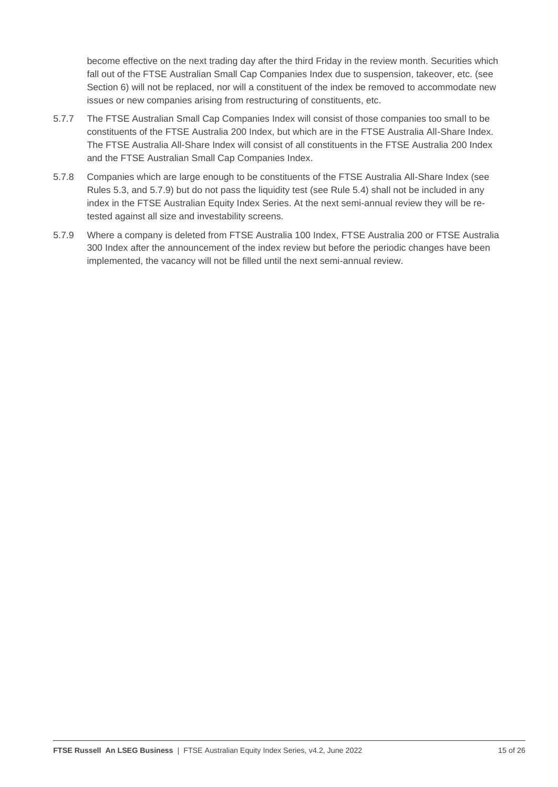become effective on the next trading day after the third Friday in the review month. Securities which fall out of the FTSE Australian Small Cap Companies Index due to suspension, takeover, etc. (see Section 6) will not be replaced, nor will a constituent of the index be removed to accommodate new issues or new companies arising from restructuring of constituents, etc.

- 5.7.7 The FTSE Australian Small Cap Companies Index will consist of those companies too small to be constituents of the FTSE Australia 200 Index, but which are in the FTSE Australia All-Share Index. The FTSE Australia All-Share Index will consist of all constituents in the FTSE Australia 200 Index and the FTSE Australian Small Cap Companies Index.
- 5.7.8 Companies which are large enough to be constituents of the FTSE Australia All-Share Index (see Rules 5.3, and 5.7.9) but do not pass the liquidity test (see Rule 5.4) shall not be included in any index in the FTSE Australian Equity Index Series. At the next semi-annual review they will be retested against all size and investability screens.
- 5.7.9 Where a company is deleted from FTSE Australia 100 Index, FTSE Australia 200 or FTSE Australia 300 Index after the announcement of the index review but before the periodic changes have been implemented, the vacancy will not be filled until the next semi-annual review.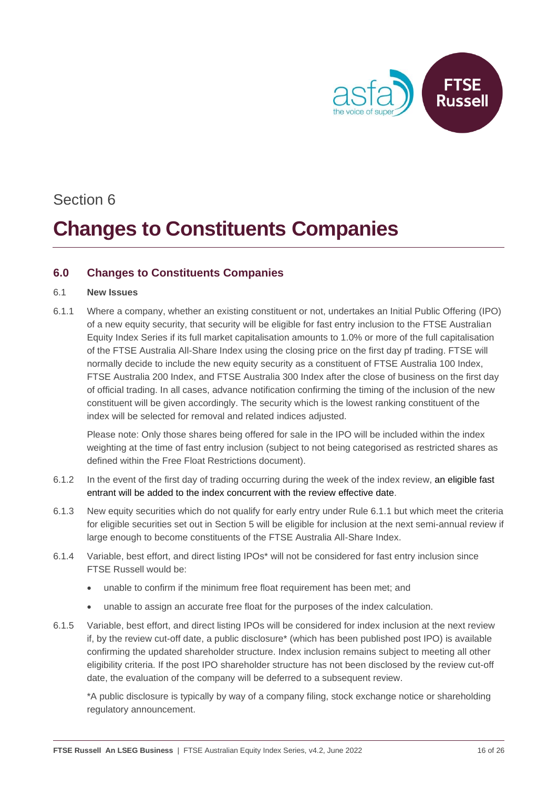

## **Changes to Constituents Companies**

#### <span id="page-15-0"></span>**6.0 Changes to Constituents Companies**

#### 6.1 **New Issues**

6.1.1 Where a company, whether an existing constituent or not, undertakes an Initial Public Offering (IPO) of a new equity security, that security will be eligible for fast entry inclusion to the FTSE Australian Equity Index Series if its full market capitalisation amounts to 1.0% or more of the full capitalisation of the FTSE Australia All-Share Index using the closing price on the first day pf trading. FTSE will normally decide to include the new equity security as a constituent of FTSE Australia 100 Index, FTSE Australia 200 Index, and FTSE Australia 300 Index after the close of business on the first day of official trading. In all cases, advance notification confirming the timing of the inclusion of the new constituent will be given accordingly. The security which is the lowest ranking constituent of the index will be selected for removal and related indices adjusted.

Please note: Only those shares being offered for sale in the IPO will be included within the index weighting at the time of fast entry inclusion (subject to not being categorised as restricted shares as defined within the Free Float Restrictions document).

- 6.1.2 In the event of the first day of trading occurring during the week of the index review, an eligible fast entrant will be added to the index concurrent with the review effective date.
- 6.1.3 New equity securities which do not qualify for early entry under Rule 6.1.1 but which meet the criteria for eligible securities set out in Section 5 will be eligible for inclusion at the next semi-annual review if large enough to become constituents of the FTSE Australia All-Share Index.
- 6.1.4 Variable, best effort, and direct listing IPOs\* will not be considered for fast entry inclusion since FTSE Russell would be:
	- unable to confirm if the minimum free float requirement has been met; and
	- unable to assign an accurate free float for the purposes of the index calculation.
- 6.1.5 Variable, best effort, and direct listing IPOs will be considered for index inclusion at the next review if, by the review cut-off date, a public disclosure\* (which has been published post IPO) is available confirming the updated shareholder structure. Index inclusion remains subject to meeting all other eligibility criteria. If the post IPO shareholder structure has not been disclosed by the review cut-off date, the evaluation of the company will be deferred to a subsequent review.

\*A public disclosure is typically by way of a company filing, stock exchange notice or shareholding regulatory announcement.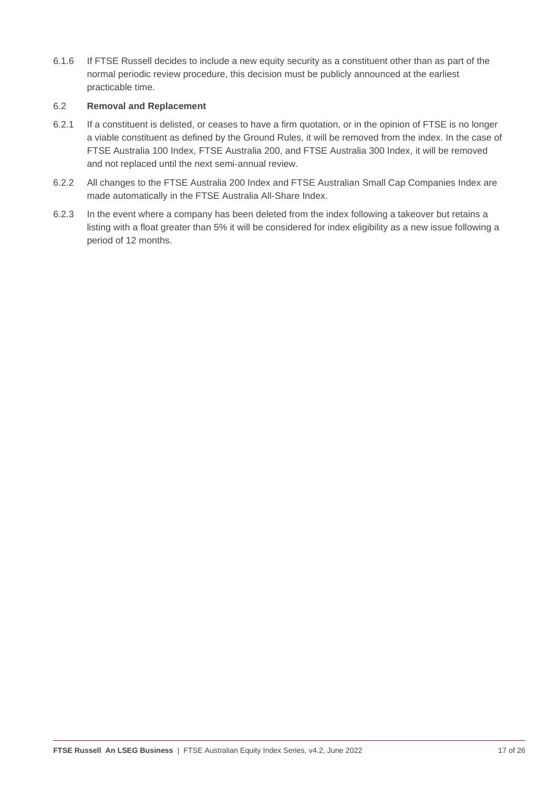6.1.6 If FTSE Russell decides to include a new equity security as a constituent other than as part of the normal periodic review procedure, this decision must be publicly announced at the earliest practicable time.

#### 6.2 **Removal and Replacement**

- 6.2.1 If a constituent is delisted, or ceases to have a firm quotation, or in the opinion of FTSE is no longer a viable constituent as defined by the Ground Rules, it will be removed from the index. In the case of FTSE Australia 100 Index, FTSE Australia 200, and FTSE Australia 300 Index, it will be removed and not replaced until the next semi-annual review.
- 6.2.2 All changes to the FTSE Australia 200 Index and FTSE Australian Small Cap Companies Index are made automatically in the FTSE Australia All-Share Index.
- 6.2.3 In the event where a company has been deleted from the index following a takeover but retains a listing with a float greater than 5% it will be considered for index eligibility as a new issue following a period of 12 months.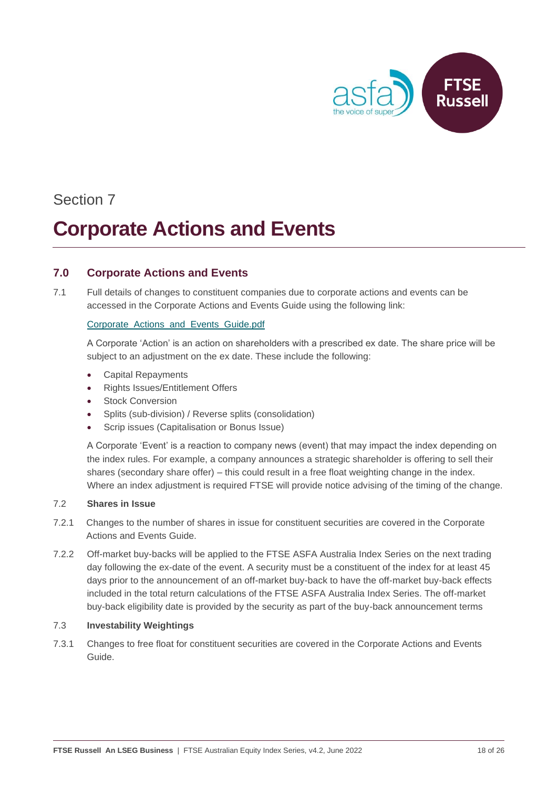

## **Corporate Actions and Events**

#### <span id="page-17-0"></span>**7.0 Corporate Actions and Events**

7.1 Full details of changes to constituent companies due to corporate actions and events can be accessed in the Corporate Actions and Events Guide using the following link:

#### [Corporate\\_Actions\\_and\\_Events\\_Guide.pdf](https://research.ftserussell.com/products/downloads/Corporate_Actions_and_Events_Guide.pdf)

A Corporate 'Action' is an action on shareholders with a prescribed ex date. The share price will be subject to an adjustment on the ex date. These include the following:

- Capital Repayments
- Rights Issues/Entitlement Offers
- **Stock Conversion**
- Splits (sub-division) / Reverse splits (consolidation)
- Scrip issues (Capitalisation or Bonus Issue)

A Corporate 'Event' is a reaction to company news (event) that may impact the index depending on the index rules. For example, a company announces a strategic shareholder is offering to sell their shares (secondary share offer) – this could result in a free float weighting change in the index. Where an index adjustment is required FTSE will provide notice advising of the timing of the change.

#### 7.2 **Shares in Issue**

- 7.2.1 Changes to the number of shares in issue for constituent securities are covered in the Corporate Actions and Events Guide.
- 7.2.2 Off-market buy-backs will be applied to the FTSE ASFA Australia Index Series on the next trading day following the ex-date of the event. A security must be a constituent of the index for at least 45 days prior to the announcement of an off-market buy-back to have the off-market buy-back effects included in the total return calculations of the FTSE ASFA Australia Index Series. The off-market buy-back eligibility date is provided by the security as part of the buy-back announcement terms

#### 7.3 **Investability Weightings**

7.3.1 Changes to free float for constituent securities are covered in the Corporate Actions and Events Guide.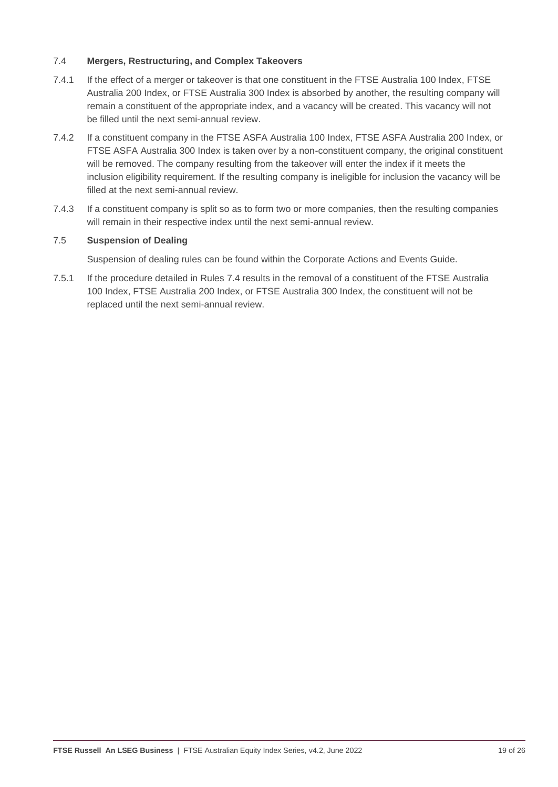#### 7.4 **Mergers, Restructuring, and Complex Takeovers**

- 7.4.1 If the effect of a merger or takeover is that one constituent in the FTSE Australia 100 Index, FTSE Australia 200 Index, or FTSE Australia 300 Index is absorbed by another, the resulting company will remain a constituent of the appropriate index, and a vacancy will be created. This vacancy will not be filled until the next semi-annual review.
- 7.4.2 If a constituent company in the FTSE ASFA Australia 100 Index, FTSE ASFA Australia 200 Index, or FTSE ASFA Australia 300 Index is taken over by a non-constituent company, the original constituent will be removed. The company resulting from the takeover will enter the index if it meets the inclusion eligibility requirement. If the resulting company is ineligible for inclusion the vacancy will be filled at the next semi-annual review.
- 7.4.3 If a constituent company is split so as to form two or more companies, then the resulting companies will remain in their respective index until the next semi-annual review.

#### 7.5 **Suspension of Dealing**

Suspension of dealing rules can be found within the Corporate Actions and Events Guide.

7.5.1 If the procedure detailed in Rules 7.4 results in the removal of a constituent of the FTSE Australia 100 Index, FTSE Australia 200 Index, or FTSE Australia 300 Index, the constituent will not be replaced until the next semi-annual review.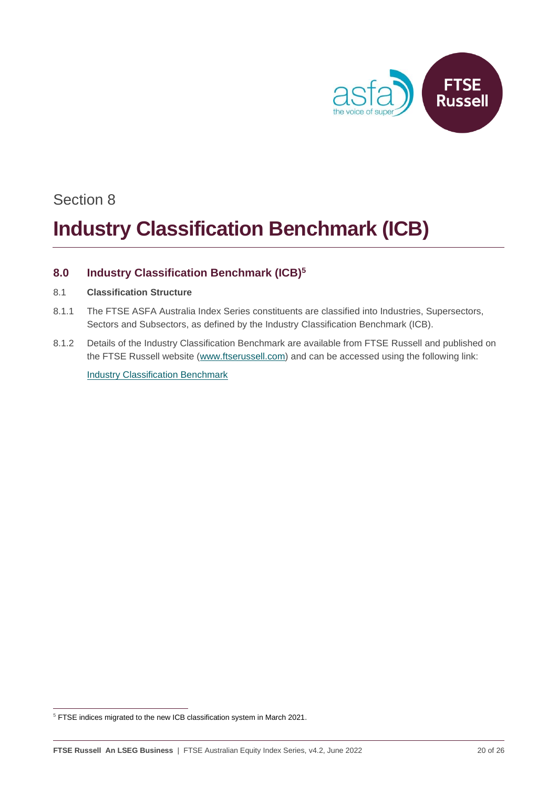

## **Industry Classification Benchmark (ICB)**

### <span id="page-19-0"></span>**8.0 Industry Classification Benchmark (ICB)<sup>5</sup>**

#### 8.1 **Classification Structure**

- 8.1.1 The FTSE ASFA Australia Index Series constituents are classified into Industries, Supersectors, Sectors and Subsectors, as defined by the Industry Classification Benchmark (ICB).
- 8.1.2 Details of the Industry Classification Benchmark are available from FTSE Russell and published on the FTSE Russell website [\(www.ftserussell.com\)](http://www.ftserussell.com/) and can be accessed using the following link:

[Industry Classification Benchmark](https://www.ftserussell.com/products/indices/icb)

<sup>&</sup>lt;sup>5</sup> FTSE indices migrated to the new ICB classification system in March 2021.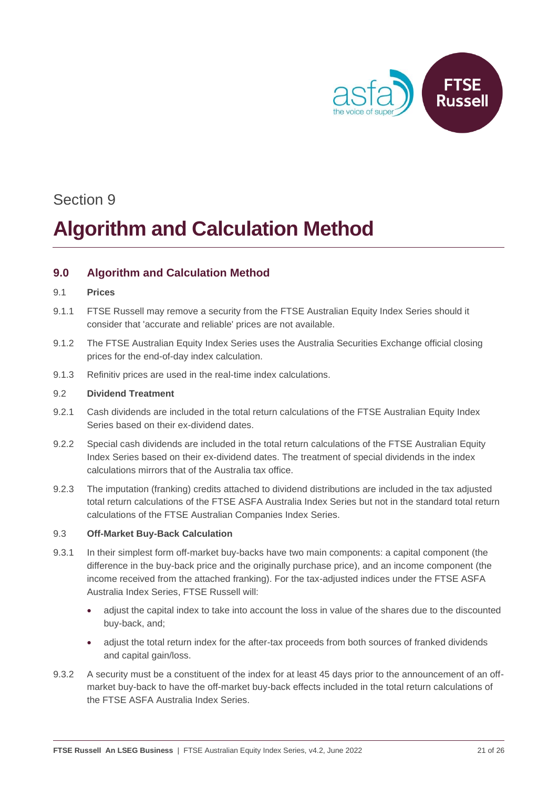

# **Algorithm and Calculation Method**

#### <span id="page-20-0"></span>**9.0 Algorithm and Calculation Method**

#### 9.1 **Prices**

- 9.1.1 FTSE Russell may remove a security from the FTSE Australian Equity Index Series should it consider that 'accurate and reliable' prices are not available.
- 9.1.2 The FTSE Australian Equity Index Series uses the Australia Securities Exchange official closing prices for the end-of-day index calculation.
- 9.1.3 Refinitiv prices are used in the real-time index calculations.

#### 9.2 **Dividend Treatment**

- 9.2.1 Cash dividends are included in the total return calculations of the FTSE Australian Equity Index Series based on their ex-dividend dates.
- 9.2.2 Special cash dividends are included in the total return calculations of the FTSE Australian Equity Index Series based on their ex-dividend dates. The treatment of special dividends in the index calculations mirrors that of the Australia tax office.
- 9.2.3 The imputation (franking) credits attached to dividend distributions are included in the tax adjusted total return calculations of the FTSE ASFA Australia Index Series but not in the standard total return calculations of the FTSE Australian Companies Index Series.

#### 9.3 **Off-Market Buy-Back Calculation**

- 9.3.1 In their simplest form off-market buy-backs have two main components: a capital component (the difference in the buy-back price and the originally purchase price), and an income component (the income received from the attached franking). For the tax-adjusted indices under the FTSE ASFA Australia Index Series, FTSE Russell will:
	- adjust the capital index to take into account the loss in value of the shares due to the discounted buy-back, and;
	- adjust the total return index for the after-tax proceeds from both sources of franked dividends and capital gain/loss.
- 9.3.2 A security must be a constituent of the index for at least 45 days prior to the announcement of an offmarket buy-back to have the off-market buy-back effects included in the total return calculations of the FTSE ASFA Australia Index Series.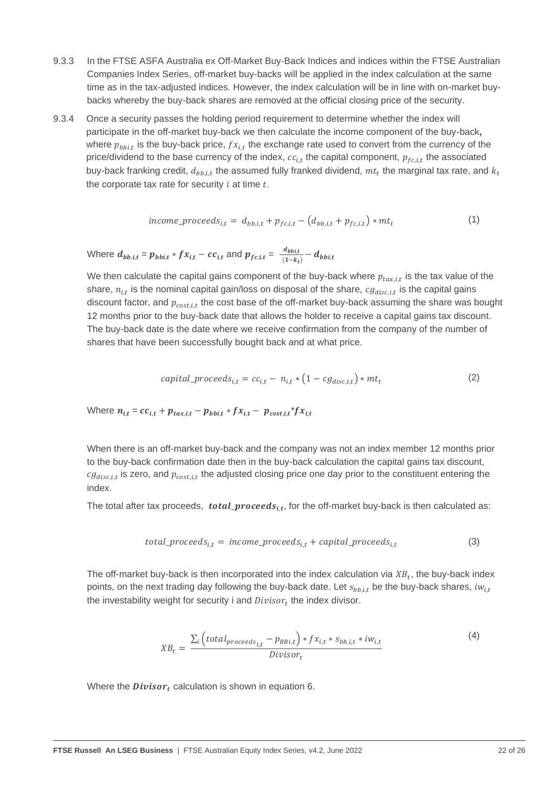- 9.3.3 In the FTSE ASFA Australia ex Off-Market Buy-Back Indices and indices within the FTSE Australian Companies Index Series, off-market buy-backs will be applied in the index calculation at the same time as in the tax-adjusted indices. However, the index calculation will be in line with on-market buybacks whereby the buy-back shares are removed at the official closing price of the security.
- 9.3.4 Once a security passes the holding period requirement to determine whether the index will participate in the off-market buy-back we then calculate the income component of the buy-back**,** where  $p_{bbi,t}$  is the buy-back price,  $f x_{i,t}$  the exchange rate used to convert from the currency of the price/dividend to the base currency of the index,  $cc_{i,t}$  the capital component,  $p_{fc,i,t}$  the associated buy-back franking credit,  $d_{bb,i,t}$  the assumed fully franked dividend,  $m t_t$  the marginal tax rate, and  $k_t$ the corporate tax rate for security  $i$  at time  $t$ .

$$
income\_proceeds_{i,t} = d_{bb,i,t} + p_{fc,i,t} - (d_{bb,i,t} + p_{fc,i,t}) * mt_t
$$
\n
$$
(1)
$$

Where  $d_{bb,i,t} = p_{bbi,t} * fx_{i,t} - cc_{i,t}$  and  $p_{fc,i,t} = \frac{d_{bbi,t}}{(1-k)}$  $\frac{u_{\text{bbl},t}}{(1-k_t)}-d_{\text{bbl},t}$ 

We then calculate the capital gains component of the buy-back where  $p_{tax,i,t}$  is the tax value of the share,  $n_{i,t}$  is the nominal capital gain/loss on disposal of the share,  $cg_{disc,i,t}$  is the capital gains discount factor, and  $p_{cost,i,t}$  the cost base of the off-market buy-back assuming the share was bought 12 months prior to the buy-back date that allows the holder to receive a capital gains tax discount. The buy-back date is the date where we receive confirmation from the company of the number of shares that have been successfully bought back and at what price.

$$
capital\_proceeds_{i,t} = cc_{i,t} - n_{i,t} * (1 - cg_{disc,i,t}) * mt_t
$$
\n(2)

Where 
$$
n_{i,t} = cc_{i,t} + p_{tax,i,t} - p_{bbi,t} * fx_{i,t} - p_{cost,i,t} * fx_{i,t}
$$

When there is an off-market buy-back and the company was not an index member 12 months prior to the buy-back confirmation date then in the buy-back calculation the capital gains tax discount,  $cg_{disc,i,t}$  is zero, and  $p_{cost,i,t}$  the adjusted closing price one day prior to the constituent entering the index.

The total after tax proceeds,  $\,{\it total\_proceeds_{i,t}},$  for the off-market buy-back is then calculated as:

$$
total\_proceeds_{i,t} = income\_proceeds_{i,t} + capital\_proceeds_{i,t}
$$
 (3)

The off-market buy-back is then incorporated into the index calculation via  $XB_t$ , the buy-back index points, on the next trading day following the buy-back date. Let  $s_{bb,i,t}$  be the buy-back shares,  $iw_{i,t}$ the investability weight for security i and  $Divisor_t$  the index divisor.

$$
XB_t = \frac{\sum_{i} \left( total_{proceeds_{i,t}} - p_{BBi,t} \right) * fx_{i,t} * s_{bb,i,t} * iw_{i,t}}{Divisor_t}
$$
\n
$$
(4)
$$

Where the  $Divisor_t$  calculation is shown in equation 6.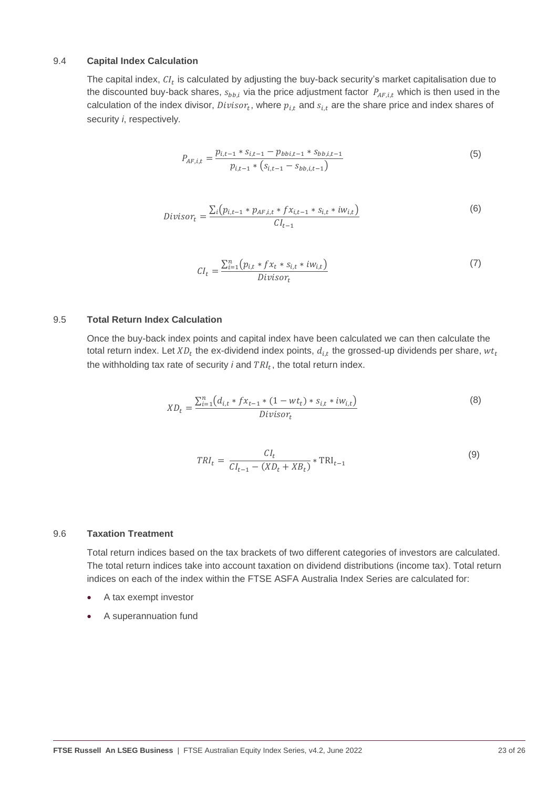#### 9.4 **Capital Index Calculation**

The capital index,  $Cl_t$  is calculated by adjusting the buy-back security's market capitalisation due to the discounted buy-back shares,  $s_{bb,i}$  via the price adjustment factor  $P_{AF,i,t}$  which is then used in the calculation of the index divisor,  $Divisor_t$ , where  $p_{i,t}$  and  $s_{i,t}$  are the share price and index shares of security *i*, respectively*.*

$$
P_{AF,i,t} = \frac{p_{i,t-1} * s_{i,t-1} - p_{bbi,t-1} * s_{bb,i,t-1}}{p_{i,t-1} * (s_{i,t-1} - s_{bb,i,t-1})}
$$
(5)

$$
Divisor_t = \frac{\sum_i (p_{i,t-1} * p_{AF,i,t} * f x_{i,t-1} * s_{i,t} * i w_{i,t})}{C l_{t-1}}
$$
(6)

$$
CI_t = \frac{\sum_{i=1}^{n} (p_{i,t} * fx_t * s_{i,t} * iw_{i,t})}{Divisor_t}
$$
\n(7)

#### 9.5 **Total Return Index Calculation**

Once the buy-back index points and capital index have been calculated we can then calculate the total return index. Let  $X D_t$  the ex-dividend index points,  $d_{i,t}$  the grossed-up dividends per share,  $w t_t$ the withholding tax rate of security  $i$  and  $TRI_t$ , the total return index.

$$
XD_t = \frac{\sum_{i=1}^{n} (d_{i,t} * fx_{t-1} * (1 - wt_t) * s_{i,t} * iw_{i,t})}{Divisor_t}
$$
\n(8)

$$
TRI_t = \frac{CI_t}{CI_{t-1} - (XD_t + XB_t)} * TRI_{t-1}
$$
\n(9)

#### 9.6 **Taxation Treatment**

Total return indices based on the tax brackets of two different categories of investors are calculated. The total return indices take into account taxation on dividend distributions (income tax). Total return indices on each of the index within the FTSE ASFA Australia Index Series are calculated for:

- A tax exempt investor
- A superannuation fund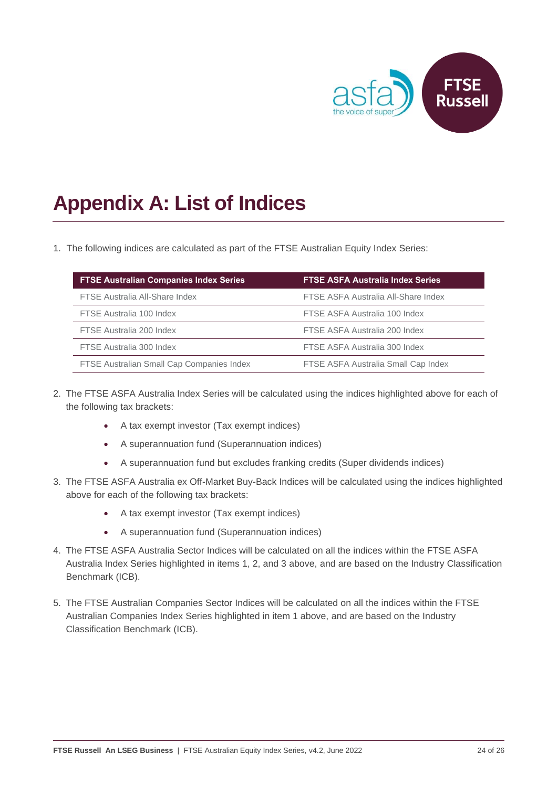

# <span id="page-23-0"></span>**Appendix A: List of Indices**

1. The following indices are calculated as part of the FTSE Australian Equity Index Series:

| <b>FTSE Australian Companies Index Series</b> | <b>FTSE ASFA Australia Index Series</b> |  |  |
|-----------------------------------------------|-----------------------------------------|--|--|
| FTSE Australia All-Share Index                | FTSE ASFA Australia All-Share Index     |  |  |
| FTSE Australia 100 Index                      | FTSE ASFA Australia 100 Index           |  |  |
| FTSE Australia 200 Index                      | FTSE ASFA Australia 200 Index           |  |  |
| FTSE Australia 300 Index                      | FTSE ASFA Australia 300 Index           |  |  |
| FTSE Australian Small Cap Companies Index     | FTSE ASFA Australia Small Cap Index     |  |  |

- 2. The FTSE ASFA Australia Index Series will be calculated using the indices highlighted above for each of the following tax brackets:
	- A tax exempt investor (Tax exempt indices)
	- A superannuation fund (Superannuation indices)
	- A superannuation fund but excludes franking credits (Super dividends indices)
- 3. The FTSE ASFA Australia ex Off-Market Buy-Back Indices will be calculated using the indices highlighted above for each of the following tax brackets:
	- A tax exempt investor (Tax exempt indices)
	- A superannuation fund (Superannuation indices)
- 4. The FTSE ASFA Australia Sector Indices will be calculated on all the indices within the FTSE ASFA Australia Index Series highlighted in items 1, 2, and 3 above, and are based on the Industry Classification Benchmark (ICB).
- 5. The FTSE Australian Companies Sector Indices will be calculated on all the indices within the FTSE Australian Companies Index Series highlighted in item 1 above, and are based on the Industry Classification Benchmark (ICB).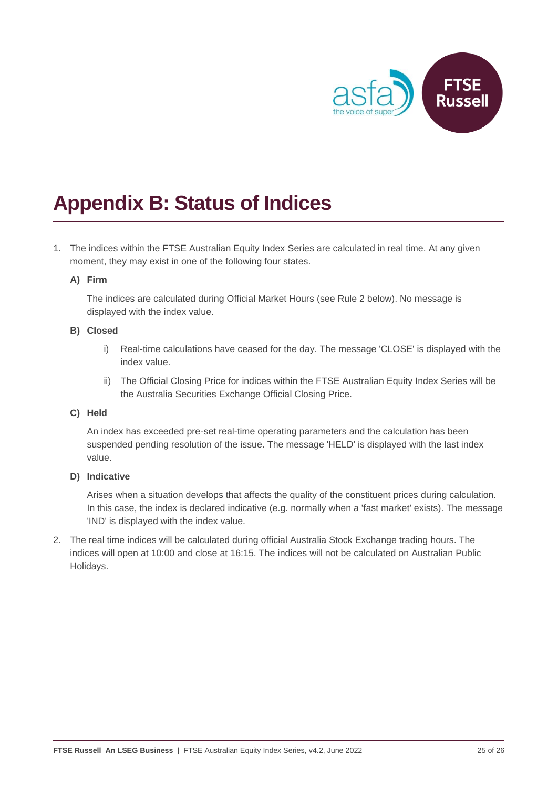

## <span id="page-24-0"></span>**Appendix B: Status of Indices**

1. The indices within the FTSE Australian Equity Index Series are calculated in real time. At any given moment, they may exist in one of the following four states.

#### **A) Firm**

The indices are calculated during Official Market Hours (see Rule 2 below). No message is displayed with the index value.

#### **B) Closed**

- i) Real-time calculations have ceased for the day. The message 'CLOSE' is displayed with the index value.
- ii) The Official Closing Price for indices within the FTSE Australian Equity Index Series will be the Australia Securities Exchange Official Closing Price.

#### **C) Held**

An index has exceeded pre-set real-time operating parameters and the calculation has been suspended pending resolution of the issue. The message 'HELD' is displayed with the last index value.

#### **D) Indicative**

Arises when a situation develops that affects the quality of the constituent prices during calculation. In this case, the index is declared indicative (e.g. normally when a 'fast market' exists). The message 'IND' is displayed with the index value.

2. The real time indices will be calculated during official Australia Stock Exchange trading hours. The indices will open at 10:00 and close at 16:15. The indices will not be calculated on Australian Public Holidays.